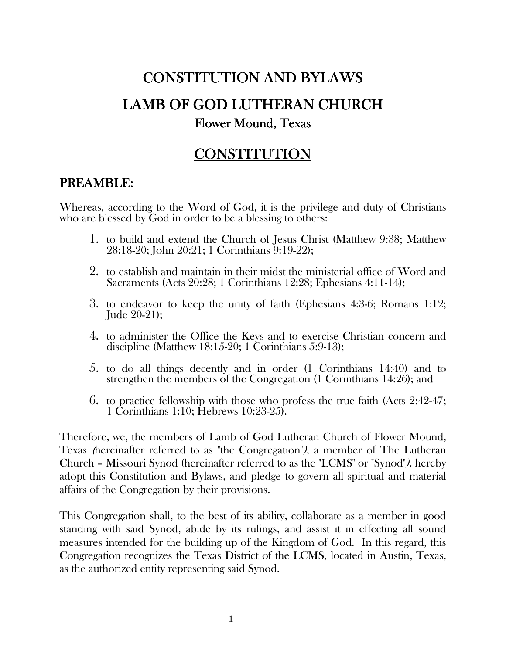# CONSTITUTION AND BYLAWS LAMB OF GOD LUTHERAN CHURCH

### Flower Mound, Texas

# **CONSTITUTION**

# PREAMBLE:

Whereas, according to the Word of God, it is the privilege and duty of Christians who are blessed by God in order to be a blessing to others:

- 1. to build and extend the Church of Jesus Christ (Matthew 9:38; Matthew 28:18-20; John 20:21; 1 Corinthians 9:19-22);
- 2. to establish and maintain in their midst the ministerial office of Word and Sacraments (Acts 20:28; 1 Corinthians 12:28; Ephesians 4:11-14);
- 3. to endeavor to keep the unity of faith (Ephesians 4:3-6; Romans 1:12; Jude 20-21);
- 4. to administer the Office the Keys and to exercise Christian concern and discipline (Matthew 18:15-20; 1 Corinthians 5:9-13);
- 5. to do all things decently and in order (1 Corinthians 14:40) and to strengthen the members of the Congregation (1 Corinthians 14:26); and
- 6. to practice fellowship with those who profess the true faith (Acts 2:42-47; 1 Corinthians 1:10; Hebrews 10:23-25).

Therefore, we, the members of Lamb of God Lutheran Church of Flower Mound, Texas (hereinafter referred to as "the Congregation"), a member of The Lutheran Church – Missouri Synod (hereinafter referred to as the "LCMS" or "Synod"), hereby adopt this Constitution and Bylaws, and pledge to govern all spiritual and material affairs of the Congregation by their provisions.

This Congregation shall, to the best of its ability, collaborate as a member in good standing with said Synod, abide by its rulings, and assist it in effecting all sound measures intended for the building up of the Kingdom of God. In this regard, this Congregation recognizes the Texas District of the LCMS, located in Austin, Texas, as the authorized entity representing said Synod.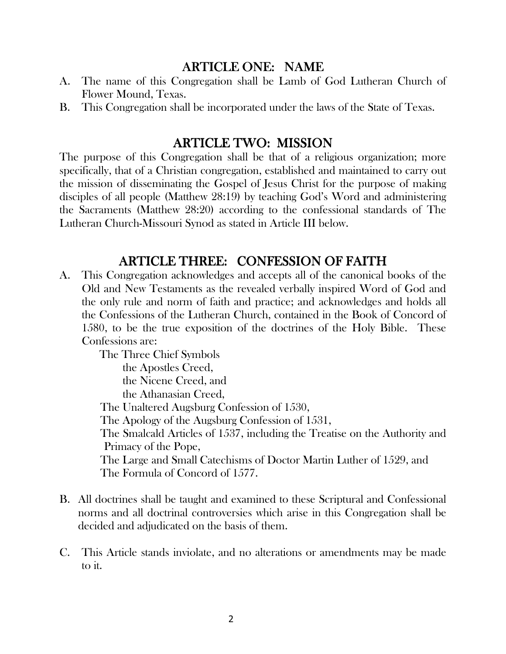### ARTICLE ONE: NAME

- A. The name of this Congregation shall be Lamb of God Lutheran Church of Flower Mound, Texas.
- B. This Congregation shall be incorporated under the laws of the State of Texas.

### **ARTICLE TWO: MISSION**

The purpose of this Congregation shall be that of a religious organization; more specifically, that of a Christian congregation, established and maintained to carry out the mission of disseminating the Gospel of Jesus Christ for the purpose of making disciples of all people (Matthew 28:19) by teaching God's Word and administering the Sacraments (Matthew 28:20) according to the confessional standards of The Lutheran Church-Missouri Synod as stated in Article III below.

### ARTICLE THREE: CONFESSION OF FAITH

A. This Congregation acknowledges and accepts all of the canonical books of the Old and New Testaments as the revealed verbally inspired Word of God and the only rule and norm of faith and practice; and acknowledges and holds all the Confessions of the Lutheran Church, contained in the Book of Concord of 1580, to be the true exposition of the doctrines of the Holy Bible. These Confessions are:

> The Three Chief Symbols the Apostles Creed, the Nicene Creed, and the Athanasian Creed, The Unaltered Augsburg Confession of 1530, The Apology of the Augsburg Confession of 1531, The Smalcald Articles of 1537, including the Treatise on the Authority and Primacy of the Pope, The Large and Small Catechisms of Doctor Martin Luther of 1529, and The Formula of Concord of 1577.

- B. All doctrines shall be taught and examined to these Scriptural and Confessional norms and all doctrinal controversies which arise in this Congregation shall be decided and adjudicated on the basis of them.
- C. This Article stands inviolate, and no alterations or amendments may be made to it.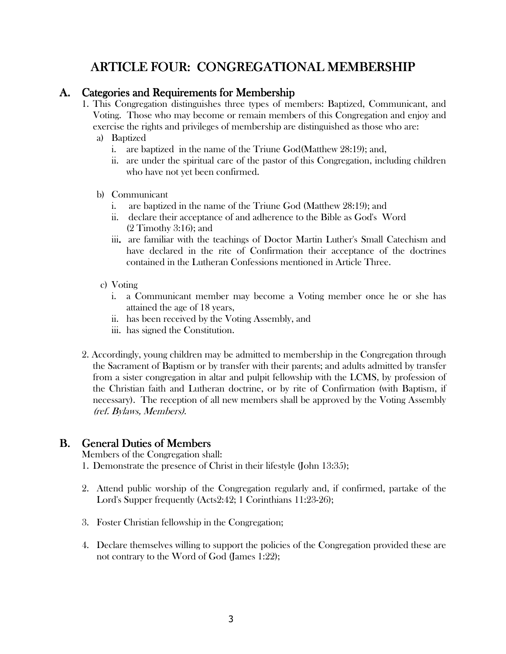# ARTICLE FOUR: CONGREGATIONAL MEMBERSHIP

#### A. Categories and Requirements for Membership

- 1. This Congregation distinguishes three types of members: Baptized, Communicant, and Voting. Those who may become or remain members of this Congregation and enjoy and exercise the rights and privileges of membership are distinguished as those who are:
	- a) Baptized
		- i. are baptized in the name of the Triune God(Matthew 28:19); and,
		- ii. are under the spiritual care of the pastor of this Congregation, including children who have not yet been confirmed.
	- b) Communicant
		- i. are baptized in the name of the Triune God (Matthew 28:19); and
		- ii. declare their acceptance of and adherence to the Bible as God's Word (2 Timothy 3:16); and
		- iii. are familiar with the teachings of Doctor Martin Luther's Small Catechism and have declared in the rite of Confirmation their acceptance of the doctrines contained in the Lutheran Confessions mentioned in Article Three.
	- c) Voting
		- i. a Communicant member may become a Voting member once he or she has attained the age of 18 years,
		- ii. has been received by the Voting Assembly, and
		- iii. has signed the Constitution.
- 2. Accordingly, young children may be admitted to membership in the Congregation through the Sacrament of Baptism or by transfer with their parents; and adults admitted by transfer from a sister congregation in altar and pulpit fellowship with the LCMS, by profession of the Christian faith and Lutheran doctrine, or by rite of Confirmation (with Baptism, if necessary). The reception of all new members shall be approved by the Voting Assembly (ref. Bylaws, Members).

### **B.** General Duties of Members

Members of the Congregation shall:

- 1. Demonstrate the presence of Christ in their lifestyle (John 13:35);
- 2. Attend public worship of the Congregation regularly and, if confirmed, partake of the Lord's Supper frequently (Acts2:42; 1 Corinthians 11:23-26);
- 3. Foster Christian fellowship in the Congregation;
- 4. Declare themselves willing to support the policies of the Congregation provided these are not contrary to the Word of God (James 1:22);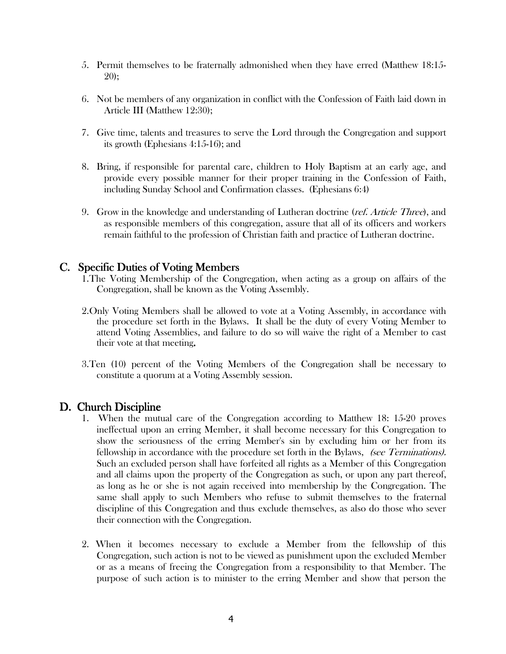- 5. Permit themselves to be fraternally admonished when they have erred (Matthew 18:15- 20);
- 6. Not be members of any organization in conflict with the Confession of Faith laid down in Article III (Matthew 12:30);
- 7. Give time, talents and treasures to serve the Lord through the Congregation and support its growth (Ephesians 4:15-16); and
- 8. Bring, if responsible for parental care, children to Holy Baptism at an early age, and provide every possible manner for their proper training in the Confession of Faith, including Sunday School and Confirmation classes. (Ephesians 6:4)
- 9. Grow in the knowledge and understanding of Lutheran doctrine (*ref. Article Three*), and as responsible members of this congregation, assure that all of its officers and workers remain faithful to the profession of Christian faith and practice of Lutheran doctrine.

#### C. Specific Duties of Voting Members

- 1.The Voting Membership of the Congregation, when acting as a group on affairs of the Congregation, shall be known as the Voting Assembly.
- 2.Only Voting Members shall be allowed to vote at a Voting Assembly, in accordance with the procedure set forth in the Bylaws. It shall be the duty of every Voting Member to attend Voting Assemblies, and failure to do so will waive the right of a Member to cast their vote at that meeting.
- 3.Ten (10) percent of the Voting Members of the Congregation shall be necessary to constitute a quorum at a Voting Assembly session.

#### D. Church Discipline

- 1. When the mutual care of the Congregation according to Matthew 18: 15-20 proves ineffectual upon an erring Member, it shall become necessary for this Congregation to show the seriousness of the erring Member's sin by excluding him or her from its fellowship in accordance with the procedure set forth in the Bylaws, *(see Terminations)*. Such an excluded person shall have forfeited all rights as a Member of this Congregation and all claims upon the property of the Congregation as such, or upon any part thereof, as long as he or she is not again received into membership by the Congregation. The same shall apply to such Members who refuse to submit themselves to the fraternal discipline of this Congregation and thus exclude themselves, as also do those who sever their connection with the Congregation.
- 2. When it becomes necessary to exclude a Member from the fellowship of this Congregation, such action is not to be viewed as punishment upon the excluded Member or as a means of freeing the Congregation from a responsibility to that Member. The purpose of such action is to minister to the erring Member and show that person the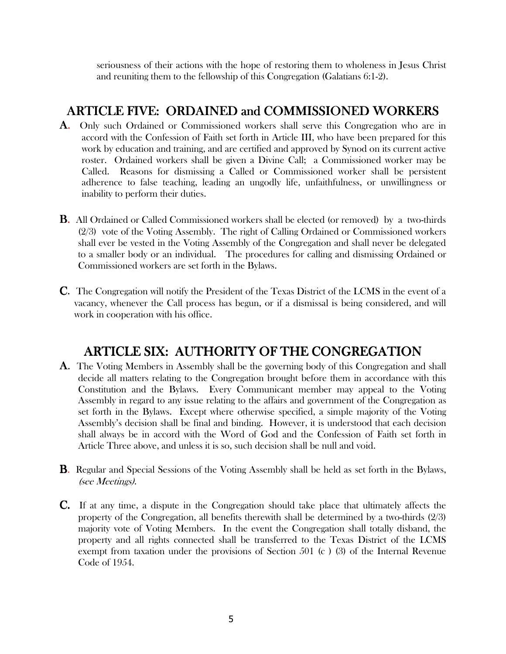seriousness of their actions with the hope of restoring them to wholeness in Jesus Christ and reuniting them to the fellowship of this Congregation (Galatians 6:1-2).

### ARTICLE FIVE: ORDAINED and COMMISSIONED WORKERS

- A. Only such Ordained or Commissioned workers shall serve this Congregation who are in accord with the Confession of Faith set forth in Article III, who have been prepared for this work by education and training, and are certified and approved by Synod on its current active roster. Ordained workers shall be given a Divine Call; a Commissioned worker may be Called. Reasons for dismissing a Called or Commissioned worker shall be persistent adherence to false teaching, leading an ungodly life, unfaithfulness, or unwillingness or inability to perform their duties.
- **B.** All Ordained or Called Commissioned workers shall be elected (or removed) by a two-thirds (2/3) vote of the Voting Assembly. The right of Calling Ordained or Commissioned workers shall ever be vested in the Voting Assembly of the Congregation and shall never be delegated to a smaller body or an individual. The procedures for calling and dismissing Ordained or Commissioned workers are set forth in the Bylaws.
- C. The Congregation will notify the President of the Texas District of the LCMS in the event of a vacancy, whenever the Call process has begun, or if a dismissal is being considered, and will work in cooperation with his office.

# ARTICLE SIX: AUTHORITY OF THE CONGREGATION

- A. The Voting Members in Assembly shall be the governing body of this Congregation and shall decide all matters relating to the Congregation brought before them in accordance with this Constitution and the Bylaws. Every Communicant member may appeal to the Voting Assembly in regard to any issue relating to the affairs and government of the Congregation as set forth in the Bylaws. Except where otherwise specified, a simple majority of the Voting Assembly's decision shall be final and binding. However, it is understood that each decision shall always be in accord with the Word of God and the Confession of Faith set forth in Article Three above, and unless it is so, such decision shall be null and void.
- B. Regular and Special Sessions of the Voting Assembly shall be held as set forth in the Bylaws, (see Meetings).
- C. If at any time, a dispute in the Congregation should take place that ultimately affects the property of the Congregation, all benefits therewith shall be determined by a two-thirds (2/3) majority vote of Voting Members. In the event the Congregation shall totally disband, the property and all rights connected shall be transferred to the Texas District of the LCMS exempt from taxation under the provisions of Section 501 (c ) (3) of the Internal Revenue Code of 1954.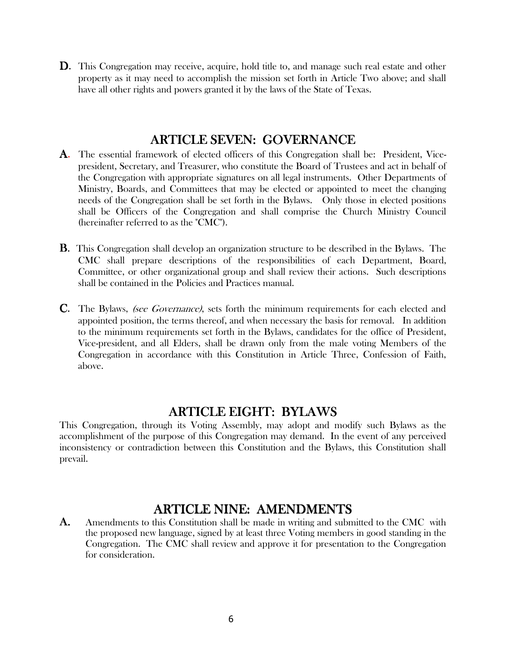D. This Congregation may receive, acquire, hold title to, and manage such real estate and other property as it may need to accomplish the mission set forth in Article Two above; and shall have all other rights and powers granted it by the laws of the State of Texas.

### **ARTICLE SEVEN: GOVERNANCE**

- A. The essential framework of elected officers of this Congregation shall be: President, Vicepresident, Secretary, and Treasurer, who constitute the Board of Trustees and act in behalf of the Congregation with appropriate signatures on all legal instruments. Other Departments of Ministry, Boards, and Committees that may be elected or appointed to meet the changing needs of the Congregation shall be set forth in the Bylaws. Only those in elected positions shall be Officers of the Congregation and shall comprise the Church Ministry Council (hereinafter referred to as the "CMC").
- B. This Congregation shall develop an organization structure to be described in the Bylaws. The CMC shall prepare descriptions of the responsibilities of each Department, Board, Committee, or other organizational group and shall review their actions. Such descriptions shall be contained in the Policies and Practices manual.
- **C.** The Bylaws, (see Governance), sets forth the minimum requirements for each elected and appointed position, the terms thereof, and when necessary the basis for removal. In addition to the minimum requirements set forth in the Bylaws, candidates for the office of President, Vice-president, and all Elders, shall be drawn only from the male voting Members of the Congregation in accordance with this Constitution in Article Three, Confession of Faith, above.

### ARTICLE EIGHT: BYLAWS

This Congregation, through its Voting Assembly, may adopt and modify such Bylaws as the accomplishment of the purpose of this Congregation may demand. In the event of any perceived inconsistency or contradiction between this Constitution and the Bylaws, this Constitution shall prevail.

### ARTICLE NINE: AMENDMENTS

**A.** Amendments to this Constitution shall be made in writing and submitted to the CMC with the proposed new language, signed by at least three Voting members in good standing in the Congregation. The CMC shall review and approve it for presentation to the Congregation for consideration.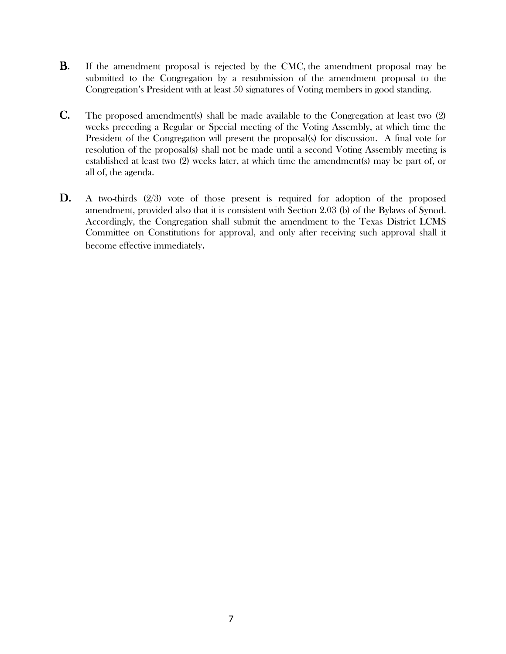- **B.** If the amendment proposal is rejected by the CMC, the amendment proposal may be submitted to the Congregation by a resubmission of the amendment proposal to the Congregation's President with at least 50 signatures of Voting members in good standing.
- C. The proposed amendment(s) shall be made available to the Congregation at least two (2) weeks preceding a Regular or Special meeting of the Voting Assembly, at which time the President of the Congregation will present the proposal(s) for discussion. A final vote for resolution of the proposal(s) shall not be made until a second Voting Assembly meeting is established at least two (2) weeks later, at which time the amendment(s) may be part of, or all of, the agenda.
- D. A two-thirds (2/3) vote of those present is required for adoption of the proposed amendment, provided also that it is consistent with Section 2.03 (b) of the Bylaws of Synod. Accordingly, the Congregation shall submit the amendment to the Texas District LCMS Committee on Constitutions for approval, and only after receiving such approval shall it become effective immediately.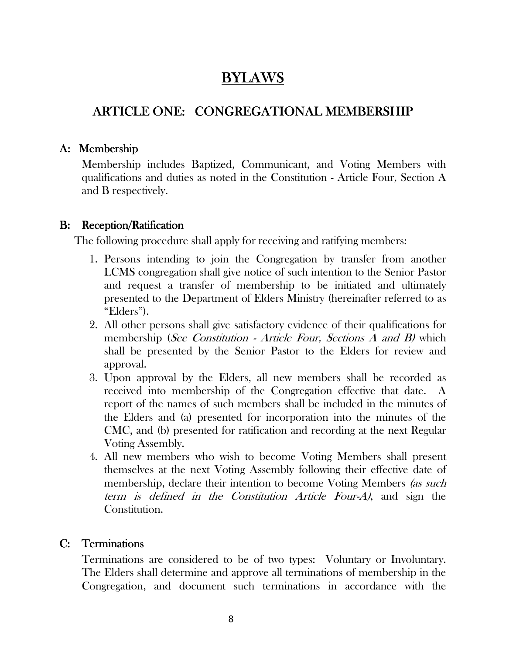# BYLAWS

# ARTICLE ONE: CONGREGATIONAL MEMBERSHIP

### A: Membership

Membership includes Baptized, Communicant, and Voting Members with qualifications and duties as noted in the Constitution - Article Four, Section A and B respectively.

### B: Reception/Ratification

The following procedure shall apply for receiving and ratifying members:

- 1. Persons intending to join the Congregation by transfer from another LCMS congregation shall give notice of such intention to the Senior Pastor and request a transfer of membership to be initiated and ultimately presented to the Department of Elders Ministry (hereinafter referred to as "Elders").
- 2. All other persons shall give satisfactory evidence of their qualifications for membership (See Constitution - Article Four, Sections A and B) which shall be presented by the Senior Pastor to the Elders for review and approval.
- 3. Upon approval by the Elders, all new members shall be recorded as received into membership of the Congregation effective that date. A report of the names of such members shall be included in the minutes of the Elders and (a) presented for incorporation into the minutes of the CMC, and (b) presented for ratification and recording at the next Regular Voting Assembly.
- 4. All new members who wish to become Voting Members shall present themselves at the next Voting Assembly following their effective date of membership, declare their intention to become Voting Members (as such term is defined in the Constitution Article Four-A), and sign the Constitution.

### C: Terminations

Terminations are considered to be of two types: Voluntary or Involuntary. The Elders shall determine and approve all terminations of membership in the Congregation, and document such terminations in accordance with the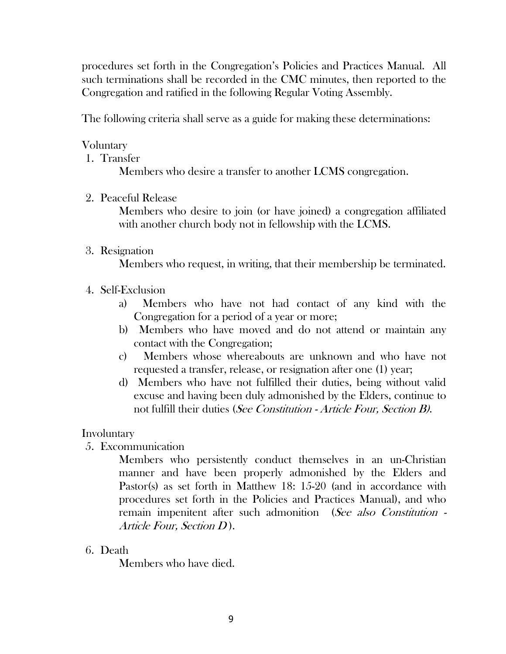procedures set forth in the Congregation's Policies and Practices Manual. All such terminations shall be recorded in the CMC minutes, then reported to the Congregation and ratified in the following Regular Voting Assembly.

The following criteria shall serve as a guide for making these determinations:

### Voluntary

1. Transfer

Members who desire a transfer to another LCMS congregation.

2. Peaceful Release

Members who desire to join (or have joined) a congregation affiliated with another church body not in fellowship with the LCMS.

3. Resignation

Members who request, in writing, that their membership be terminated.

- 4. Self-Exclusion
	- a) Members who have not had contact of any kind with the Congregation for a period of a year or more;
	- b) Members who have moved and do not attend or maintain any contact with the Congregation;
	- c) Members whose whereabouts are unknown and who have not requested a transfer, release, or resignation after one (1) year;
	- d) Members who have not fulfilled their duties, being without valid excuse and having been duly admonished by the Elders, continue to not fulfill their duties (See Constitution - Article Four, Section B).

### Involuntary

5. Excommunication

Members who persistently conduct themselves in an un-Christian manner and have been properly admonished by the Elders and Pastor(s) as set forth in Matthew 18: 15-20 (and in accordance with procedures set forth in the Policies and Practices Manual), and who remain impenitent after such admonition (See also Constitution -Article Four, Section  $D$ ).

6. Death

Members who have died.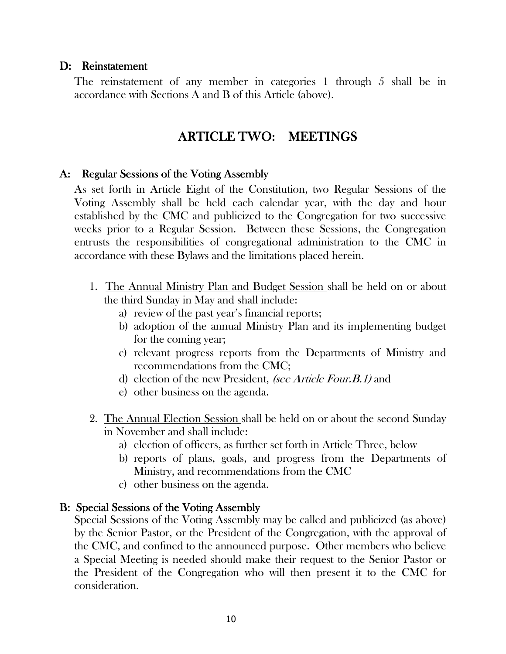#### D: Reinstatement

The reinstatement of any member in categories 1 through 5 shall be in accordance with Sections A and B of this Article (above).

## ARTICLE TWO: MEETINGS

#### A: Regular Sessions of the Voting Assembly

As set forth in Article Eight of the Constitution, two Regular Sessions of the Voting Assembly shall be held each calendar year, with the day and hour established by the CMC and publicized to the Congregation for two successive weeks prior to a Regular Session. Between these Sessions, the Congregation entrusts the responsibilities of congregational administration to the CMC in accordance with these Bylaws and the limitations placed herein.

- 1. The Annual Ministry Plan and Budget Session shall be held on or about the third Sunday in May and shall include:
	- a) review of the past year's financial reports;
	- b) adoption of the annual Ministry Plan and its implementing budget for the coming year;
	- c) relevant progress reports from the Departments of Ministry and recommendations from the CMC;
	- d) election of the new President, (see Article Four. B. 1) and
	- e) other business on the agenda.
- 2. The Annual Election Session shall be held on or about the second Sunday in November and shall include:
	- a) election of officers, as further set forth in Article Three, below
	- b) reports of plans, goals, and progress from the Departments of Ministry, and recommendations from the CMC
	- c) other business on the agenda.

#### B: Special Sessions of the Voting Assembly

Special Sessions of the Voting Assembly may be called and publicized (as above) by the Senior Pastor, or the President of the Congregation, with the approval of the CMC, and confined to the announced purpose. Other members who believe a Special Meeting is needed should make their request to the Senior Pastor or the President of the Congregation who will then present it to the CMC for consideration.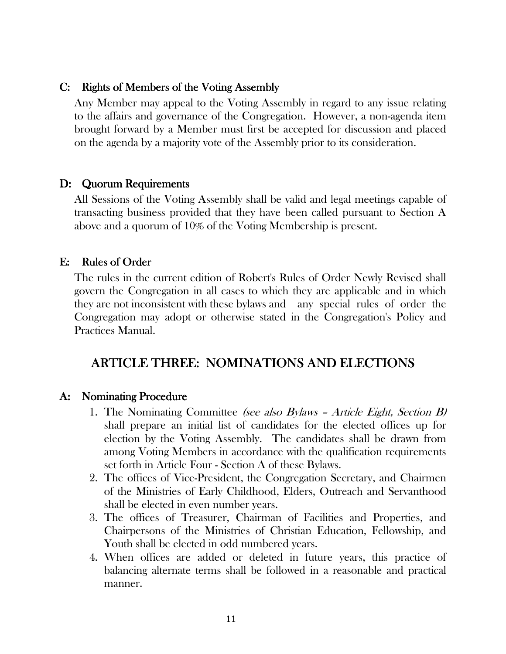#### C: Rights of Members of the Voting Assembly

Any Member may appeal to the Voting Assembly in regard to any issue relating to the affairs and governance of the Congregation. However, a non-agenda item brought forward by a Member must first be accepted for discussion and placed on the agenda by a majority vote of the Assembly prior to its consideration.

#### D: Quorum Requirements

All Sessions of the Voting Assembly shall be valid and legal meetings capable of transacting business provided that they have been called pursuant to Section A above and a quorum of 10% of the Voting Membership is present.

### E: Rules of Order

The rules in the current edition of Robert's Rules of Order Newly Revised shall govern the Congregation in all cases to which they are applicable and in which they are not inconsistent with these bylaws and any special rules of order the Congregation may adopt or otherwise stated in the Congregation's Policy and Practices Manual.

### ARTICLE THREE: NOMINATIONS AND ELECTIONS

### A: Nominating Procedure

- 1. The Nominating Committee (see also Bylaws Article Eight, Section B) shall prepare an initial list of candidates for the elected offices up for election by the Voting Assembly. The candidates shall be drawn from among Voting Members in accordance with the qualification requirements set forth in Article Four - Section A of these Bylaws.
- 2. The offices of Vice-President, the Congregation Secretary, and Chairmen of the Ministries of Early Childhood, Elders, Outreach and Servanthood shall be elected in even number years.
- 3. The offices of Treasurer, Chairman of Facilities and Properties, and Chairpersons of the Ministries of Christian Education, Fellowship, and Youth shall be elected in odd numbered years.
- 4. When offices are added or deleted in future years, this practice of balancing alternate terms shall be followed in a reasonable and practical manner.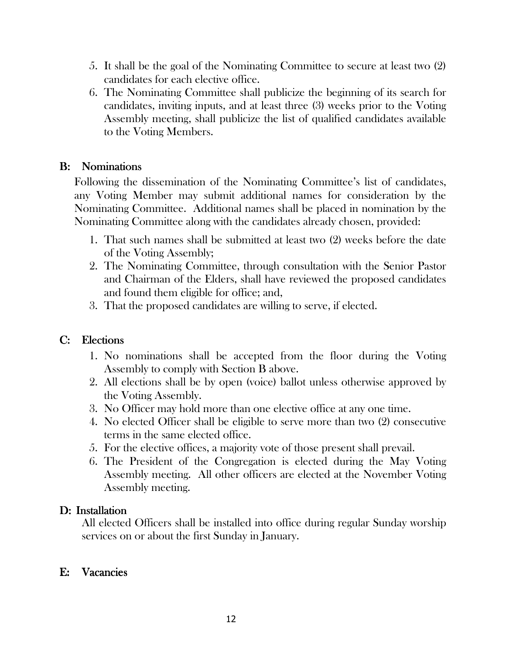- 5. It shall be the goal of the Nominating Committee to secure at least two (2) candidates for each elective office.
- 6. The Nominating Committee shall publicize the beginning of its search for candidates, inviting inputs, and at least three (3) weeks prior to the Voting Assembly meeting, shall publicize the list of qualified candidates available to the Voting Members.

### B: Nominations

Following the dissemination of the Nominating Committee's list of candidates, any Voting Member may submit additional names for consideration by the Nominating Committee. Additional names shall be placed in nomination by the Nominating Committee along with the candidates already chosen, provided:

- 1. That such names shall be submitted at least two (2) weeks before the date of the Voting Assembly;
- 2. The Nominating Committee, through consultation with the Senior Pastor and Chairman of the Elders, shall have reviewed the proposed candidates and found them eligible for office; and,
- 3. That the proposed candidates are willing to serve, if elected.

### C: Elections

- 1. No nominations shall be accepted from the floor during the Voting Assembly to comply with Section B above.
- 2. All elections shall be by open (voice) ballot unless otherwise approved by the Voting Assembly.
- 3. No Officer may hold more than one elective office at any one time.
- 4. No elected Officer shall be eligible to serve more than two (2) consecutive terms in the same elected office.
- 5. For the elective offices, a majority vote of those present shall prevail.
- 6. The President of the Congregation is elected during the May Voting Assembly meeting. All other officers are elected at the November Voting Assembly meeting.

### D: Installation

All elected Officers shall be installed into office during regular Sunday worship services on or about the first Sunday in January.

### E: Vacancies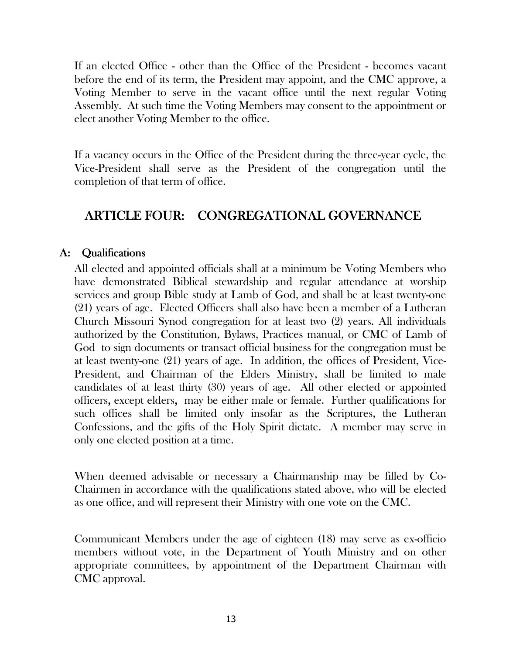If an elected Office - other than the Office of the President - becomes vacant before the end of its term, the President may appoint, and the CMC approve, a Voting Member to serve in the vacant office until the next regular Voting Assembly. At such time the Voting Members may consent to the appointment or elect another Voting Member to the office.

If a vacancy occurs in the Office of the President during the three-year cycle, the Vice-President shall serve as the President of the congregation until the completion of that term of office.

# ARTICLE FOUR: CONGREGATIONAL GOVERNANCE

### A: Qualifications

All elected and appointed officials shall at a minimum be Voting Members who have demonstrated Biblical stewardship and regular attendance at worship services and group Bible study at Lamb of God, and shall be at least twenty-one (21) years of age. Elected Officers shall also have been a member of a Lutheran Church Missouri Synod congregation for at least two (2) years. All individuals authorized by the Constitution, Bylaws, Practices manual, or CMC of Lamb of God to sign documents or transact official business for the congregation must be at least twenty-one (21) years of age. In addition, the offices of President, Vice-President, and Chairman of the Elders Ministry, shall be limited to male candidates of at least thirty (30) years of age. All other elected or appointed officers, except elders, may be either male or female. Further qualifications for such offices shall be limited only insofar as the Scriptures, the Lutheran Confessions, and the gifts of the Holy Spirit dictate. A member may serve in only one elected position at a time.

When deemed advisable or necessary a Chairmanship may be filled by Co-Chairmen in accordance with the qualifications stated above, who will be elected as one office, and will represent their Ministry with one vote on the CMC.

Communicant Members under the age of eighteen (18) may serve as ex-officio members without vote, in the Department of Youth Ministry and on other appropriate committees, by appointment of the Department Chairman with CMC approval.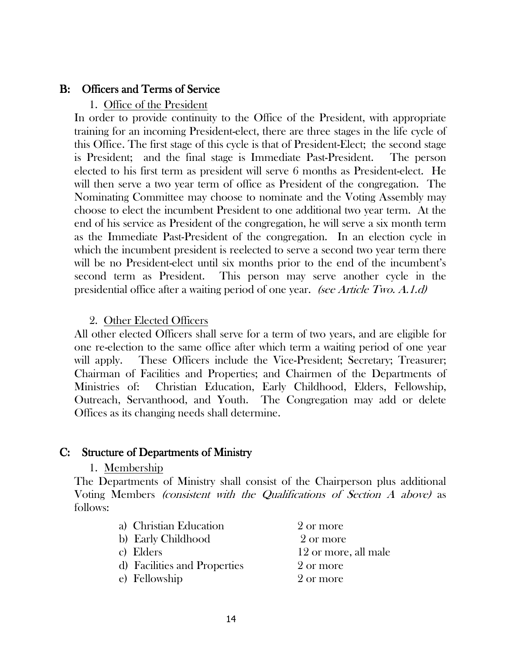#### B: Officers and Terms of Service

#### 1. Office of the President

In order to provide continuity to the Office of the President, with appropriate training for an incoming President-elect, there are three stages in the life cycle of this Office. The first stage of this cycle is that of President-Elect; the second stage is President; and the final stage is Immediate Past-President. The person elected to his first term as president will serve 6 months as President-elect. He will then serve a two year term of office as President of the congregation. The Nominating Committee may choose to nominate and the Voting Assembly may choose to elect the incumbent President to one additional two year term. At the end of his service as President of the congregation, he will serve a six month term as the Immediate Past-President of the congregation. In an election cycle in which the incumbent president is reelected to serve a second two year term there will be no President-elect until six months prior to the end of the incumbent's second term as President. This person may serve another cycle in the presidential office after a waiting period of one year. *(see Article Two. A.1.d)* 

#### 2. Other Elected Officers

All other elected Officers shall serve for a term of two years, and are eligible for one re-election to the same office after which term a waiting period of one year will apply. These Officers include the Vice-President; Secretary; Treasurer; Chairman of Facilities and Properties; and Chairmen of the Departments of Ministries of: Christian Education, Early Childhood, Elders, Fellowship, Outreach, Servanthood, and Youth. The Congregation may add or delete Offices as its changing needs shall determine.

#### C: Structure of Departments of Ministry

#### 1. Membership

The Departments of Ministry shall consist of the Chairperson plus additional Voting Members (consistent with the Qualifications of Section A above) as follows:

| a) Christian Education       | 2 or more            |
|------------------------------|----------------------|
| b) Early Childhood           | 2 or more            |
| c) Elders                    | 12 or more, all male |
| d) Facilities and Properties | 2 or more            |
| e) Fellowship                | 2 or more            |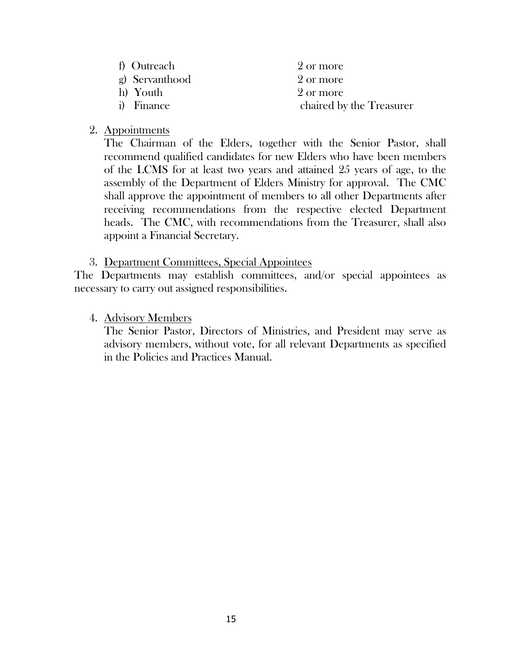| f) Outreach    | 2 or more                |
|----------------|--------------------------|
| g) Servanthood | 2 or more                |
| h) Youth       | 2 or more                |
| i) Finance     | chaired by the Treasurer |

#### 2. Appointments

The Chairman of the Elders, together with the Senior Pastor, shall recommend qualified candidates for new Elders who have been members of the LCMS for at least two years and attained 25 years of age, to the assembly of the Department of Elders Ministry for approval. The CMC shall approve the appointment of members to all other Departments after receiving recommendations from the respective elected Department heads. The CMC, with recommendations from the Treasurer, shall also appoint a Financial Secretary.

3. Department Committees, Special Appointees

The Departments may establish committees, and/or special appointees as necessary to carry out assigned responsibilities.

4. Advisory Members

The Senior Pastor, Directors of Ministries, and President may serve as advisory members, without vote, for all relevant Departments as specified in the Policies and Practices Manual.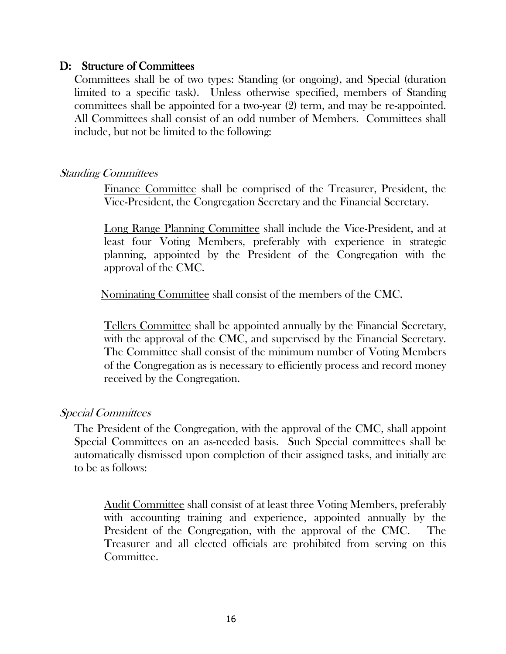### D: Structure of Committees

Committees shall be of two types: Standing (or ongoing), and Special (duration limited to a specific task). Unless otherwise specified, members of Standing committees shall be appointed for a two-year (2) term, and may be re-appointed. All Committees shall consist of an odd number of Members. Committees shall include, but not be limited to the following:

#### Standing Committees

Finance Committee shall be comprised of the Treasurer, President, the Vice-President, the Congregation Secretary and the Financial Secretary.

Long Range Planning Committee shall include the Vice-President, and at least four Voting Members, preferably with experience in strategic planning, appointed by the President of the Congregation with the approval of the CMC.

Nominating Committee shall consist of the members of the CMC.

Tellers Committee shall be appointed annually by the Financial Secretary, with the approval of the CMC, and supervised by the Financial Secretary. The Committee shall consist of the minimum number of Voting Members of the Congregation as is necessary to efficiently process and record money received by the Congregation.

### Special Committees

The President of the Congregation, with the approval of the CMC, shall appoint Special Committees on an as-needed basis. Such Special committees shall be automatically dismissed upon completion of their assigned tasks, and initially are to be as follows:

Audit Committee shall consist of at least three Voting Members, preferably with accounting training and experience, appointed annually by the President of the Congregation, with the approval of the CMC. The Treasurer and all elected officials are prohibited from serving on this Committee.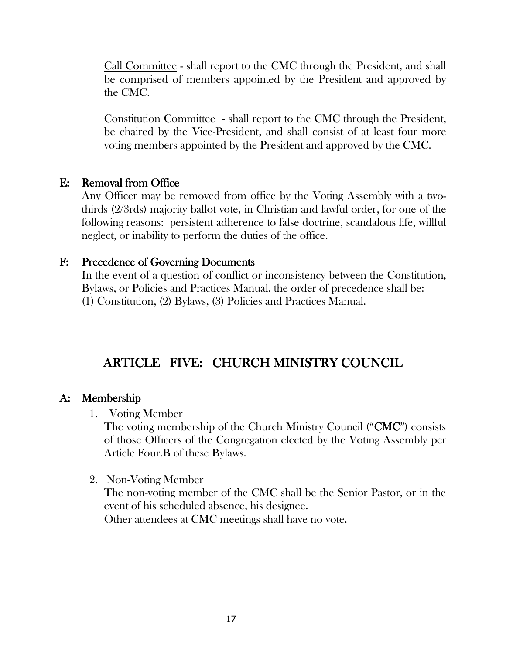Call Committee - shall report to the CMC through the President, and shall be comprised of members appointed by the President and approved by the CMC.

Constitution Committee - shall report to the CMC through the President, be chaired by the Vice-President, and shall consist of at least four more voting members appointed by the President and approved by the CMC.

### $E:$  Removal from Office

Any Officer may be removed from office by the Voting Assembly with a twothirds (2/3rds) majority ballot vote, in Christian and lawful order, for one of the following reasons: persistent adherence to false doctrine, scandalous life, willful neglect, or inability to perform the duties of the office.

### F: Precedence of Governing Documents

In the event of a question of conflict or inconsistency between the Constitution, Bylaws, or Policies and Practices Manual, the order of precedence shall be: (1) Constitution, (2) Bylaws, (3) Policies and Practices Manual.

# ARTICLE FIVE: CHURCH MINISTRY COUNCIL

### A: Membership

1. Voting Member

The voting membership of the Church Ministry Council ("**CMC**") consists of those Officers of the Congregation elected by the Voting Assembly per Article Four.B of these Bylaws.

### 2. Non-Voting Member

The non-voting member of the CMC shall be the Senior Pastor, or in the event of his scheduled absence, his designee. Other attendees at CMC meetings shall have no vote.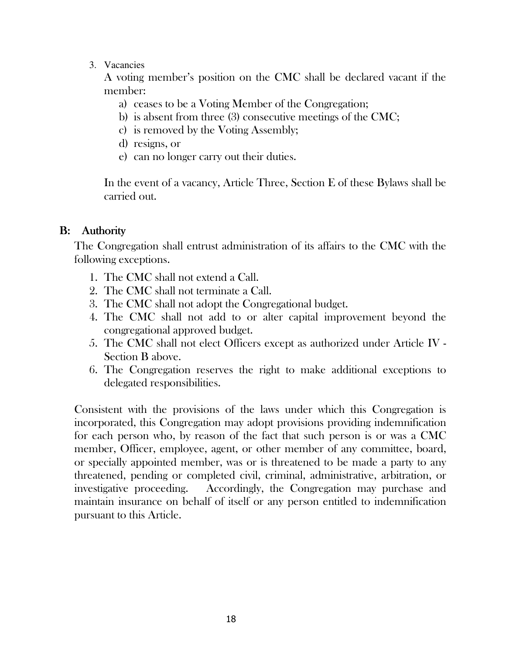3. Vacancies

A voting member's position on the CMC shall be declared vacant if the member:

- a) ceases to be a Voting Member of the Congregation;
- b) is absent from three (3) consecutive meetings of the CMC;
- c) is removed by the Voting Assembly;
- d) resigns, or
- e) can no longer carry out their duties.

In the event of a vacancy, Article Three, Section E of these Bylaws shall be carried out.

### B: Authority

The Congregation shall entrust administration of its affairs to the CMC with the following exceptions.

- 1. The CMC shall not extend a Call.
- 2. The CMC shall not terminate a Call.
- 3. The CMC shall not adopt the Congregational budget.
- 4. The CMC shall not add to or alter capital improvement beyond the congregational approved budget.
- 5. The CMC shall not elect Officers except as authorized under Article IV Section B above.
- 6. The Congregation reserves the right to make additional exceptions to delegated responsibilities.

Consistent with the provisions of the laws under which this Congregation is incorporated, this Congregation may adopt provisions providing indemnification for each person who, by reason of the fact that such person is or was a CMC member, Officer, employee, agent, or other member of any committee, board, or specially appointed member, was or is threatened to be made a party to any threatened, pending or completed civil, criminal, administrative, arbitration, or investigative proceeding. Accordingly, the Congregation may purchase and maintain insurance on behalf of itself or any person entitled to indemnification pursuant to this Article.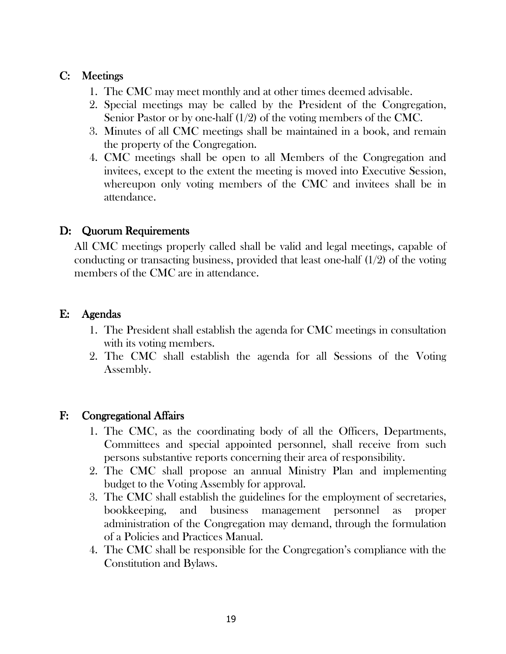### C: Meetings

- 1. The CMC may meet monthly and at other times deemed advisable.
- 2. Special meetings may be called by the President of the Congregation, Senior Pastor or by one-half (1/2) of the voting members of the CMC.
- 3. Minutes of all CMC meetings shall be maintained in a book, and remain the property of the Congregation.
- 4. CMC meetings shall be open to all Members of the Congregation and invitees, except to the extent the meeting is moved into Executive Session, whereupon only voting members of the CMC and invitees shall be in attendance.

#### D: Quorum Requirements

All CMC meetings properly called shall be valid and legal meetings, capable of conducting or transacting business, provided that least one-half (1/2) of the voting members of the CMC are in attendance.

#### E: Agendas

- 1. The President shall establish the agenda for CMC meetings in consultation with its voting members.
- 2. The CMC shall establish the agenda for all Sessions of the Voting Assembly.

#### F: Congregational Affairs

- 1. The CMC, as the coordinating body of all the Officers, Departments, Committees and special appointed personnel, shall receive from such persons substantive reports concerning their area of responsibility.
- 2. The CMC shall propose an annual Ministry Plan and implementing budget to the Voting Assembly for approval.
- 3. The CMC shall establish the guidelines for the employment of secretaries, bookkeeping, and business management personnel as proper administration of the Congregation may demand, through the formulation of a Policies and Practices Manual.
- 4. The CMC shall be responsible for the Congregation's compliance with the Constitution and Bylaws.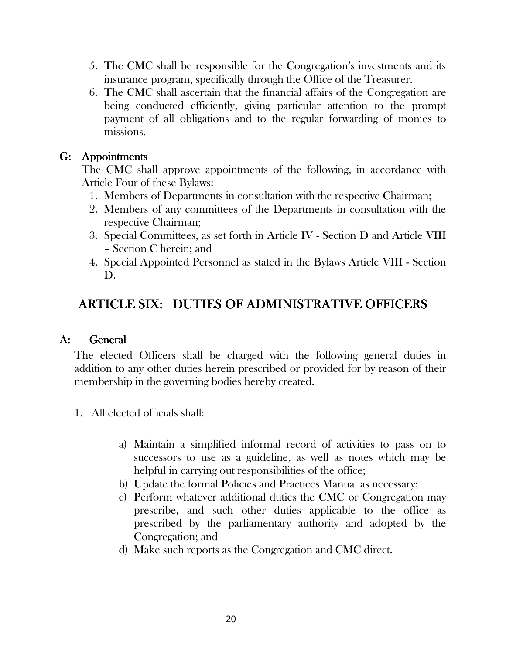- 5. The CMC shall be responsible for the Congregation's investments and its insurance program, specifically through the Office of the Treasurer.
- 6. The CMC shall ascertain that the financial affairs of the Congregation are being conducted efficiently, giving particular attention to the prompt payment of all obligations and to the regular forwarding of monies to missions.

### G: Appointments

The CMC shall approve appointments of the following, in accordance with Article Four of these Bylaws:

- 1. Members of Departments in consultation with the respective Chairman;
- 2. Members of any committees of the Departments in consultation with the respective Chairman;
- 3. Special Committees, as set forth in Article IV Section D and Article VIII – Section C herein; and
- 4. Special Appointed Personnel as stated in the Bylaws Article VIII Section D.

# ARTICLE SIX: DUTIES OF ADMINISTRATIVE OFFICERS

### A: General

The elected Officers shall be charged with the following general duties in addition to any other duties herein prescribed or provided for by reason of their membership in the governing bodies hereby created.

- 1. All elected officials shall:
	- a) Maintain a simplified informal record of activities to pass on to successors to use as a guideline, as well as notes which may be helpful in carrying out responsibilities of the office;
	- b) Update the formal Policies and Practices Manual as necessary;
	- c) Perform whatever additional duties the CMC or Congregation may prescribe, and such other duties applicable to the office as prescribed by the parliamentary authority and adopted by the Congregation; and
	- d) Make such reports as the Congregation and CMC direct.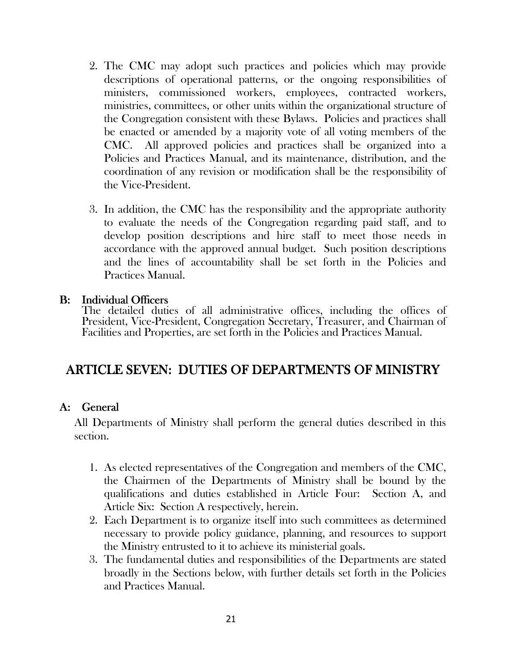- 2. The CMC may adopt such practices and policies which may provide descriptions of operational patterns, or the ongoing responsibilities of ministers, commissioned workers, employees, contracted workers, ministries, committees, or other units within the organizational structure of the Congregation consistent with these Bylaws. Policies and practices shall be enacted or amended by a majority vote of all voting members of the CMC. All approved policies and practices shall be organized into a Policies and Practices Manual, and its maintenance, distribution, and the coordination of any revision or modification shall be the responsibility of the Vice-President.
- 3. In addition, the CMC has the responsibility and the appropriate authority to evaluate the needs of the Congregation regarding paid staff, and to develop position descriptions and hire staff to meet those needs in accordance with the approved annual budget. Such position descriptions and the lines of accountability shall be set forth in the Policies and Practices Manual.

#### B: Individual Officers

The detailed duties of all administrative offices, including the offices of President, Vice-President, Congregation Secretary, Treasurer, and Chairman of Facilities and Properties, are set forth in the Policies and Practices Manual.

# ARTICLE SEVEN: DUTIES OF DEPARTMENTS OF MINISTRY

### A: General

All Departments of Ministry shall perform the general duties described in this section.

- 1. As elected representatives of the Congregation and members of the CMC, the Chairmen of the Departments of Ministry shall be bound by the qualifications and duties established in Article Four: Section A, and Article Six: Section A respectively, herein.
- 2. Each Department is to organize itself into such committees as determined necessary to provide policy guidance, planning, and resources to support the Ministry entrusted to it to achieve its ministerial goals.
- 3. The fundamental duties and responsibilities of the Departments are stated broadly in the Sections below, with further details set forth in the Policies and Practices Manual.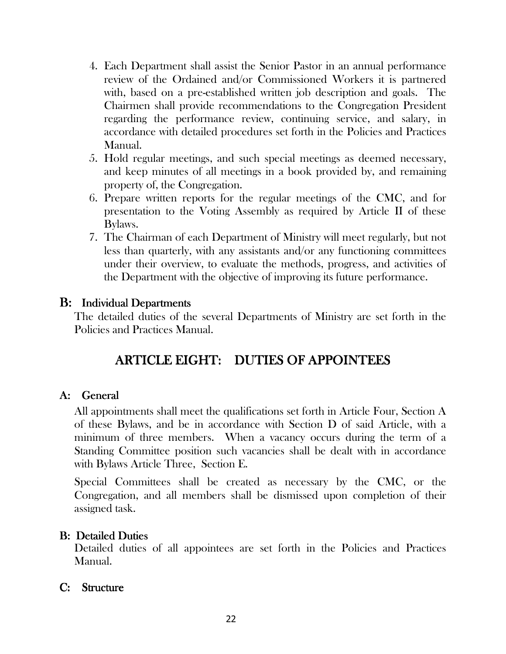- 4. Each Department shall assist the Senior Pastor in an annual performance review of the Ordained and/or Commissioned Workers it is partnered with, based on a pre-established written job description and goals. The Chairmen shall provide recommendations to the Congregation President regarding the performance review, continuing service, and salary, in accordance with detailed procedures set forth in the Policies and Practices Manual.
- 5. Hold regular meetings, and such special meetings as deemed necessary, and keep minutes of all meetings in a book provided by, and remaining property of, the Congregation.
- 6. Prepare written reports for the regular meetings of the CMC, and for presentation to the Voting Assembly as required by Article II of these Bylaws.
- 7. The Chairman of each Department of Ministry will meet regularly, but not less than quarterly, with any assistants and/or any functioning committees under their overview, to evaluate the methods, progress, and activities of the Department with the objective of improving its future performance.

### B: Individual Departments

The detailed duties of the several Departments of Ministry are set forth in the Policies and Practices Manual.

# ARTICLE EIGHT: DUTIES OF APPOINTEES

### A: General

All appointments shall meet the qualifications set forth in Article Four, Section A of these Bylaws, and be in accordance with Section D of said Article, with a minimum of three members. When a vacancy occurs during the term of a Standing Committee position such vacancies shall be dealt with in accordance with Bylaws Article Three, Section E.

Special Committees shall be created as necessary by the CMC, or the Congregation, and all members shall be dismissed upon completion of their assigned task.

### **B: Detailed Duties**

Detailed duties of all appointees are set forth in the Policies and Practices Manual.

### C: Structure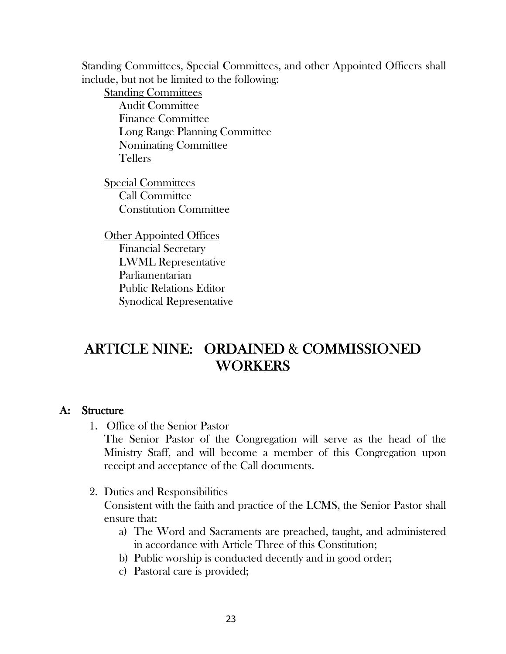Standing Committees, Special Committees, and other Appointed Officers shall include, but not be limited to the following:

Standing Committees Audit Committee Finance Committee Long Range Planning Committee Nominating Committee Tellers

Special Committees Call Committee Constitution Committee

Other Appointed Offices Financial Secretary LWML Representative Parliamentarian Public Relations Editor Synodical Representative

# ARTICLE NINE: ORDAINED & COMMISSIONED **WORKERS**

#### A: Structure

1. Office of the Senior Pastor

The Senior Pastor of the Congregation will serve as the head of the Ministry Staff, and will become a member of this Congregation upon receipt and acceptance of the Call documents.

2. Duties and Responsibilities

Consistent with the faith and practice of the LCMS, the Senior Pastor shall ensure that:

- a) The Word and Sacraments are preached, taught, and administered in accordance with Article Three of this Constitution;
- b) Public worship is conducted decently and in good order;
- c) Pastoral care is provided;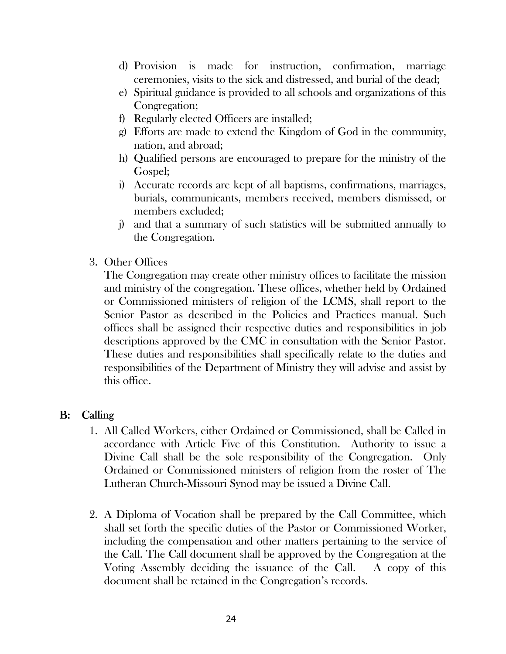- d) Provision is made for instruction, confirmation, marriage ceremonies, visits to the sick and distressed, and burial of the dead;
- e) Spiritual guidance is provided to all schools and organizations of this Congregation;
- f) Regularly elected Officers are installed;
- g) Efforts are made to extend the Kingdom of God in the community, nation, and abroad;
- h) Qualified persons are encouraged to prepare for the ministry of the Gospel;
- i) Accurate records are kept of all baptisms, confirmations, marriages, burials, communicants, members received, members dismissed, or members excluded;
- j) and that a summary of such statistics will be submitted annually to the Congregation.
- 3. Other Offices

The Congregation may create other ministry offices to facilitate the mission and ministry of the congregation.These offices, whether held by Ordained or Commissioned ministers of religion of the LCMS, shall report to the Senior Pastor as described in the Policies and Practices manual. Such offices shall be assigned their respective duties and responsibilities in job descriptions approved by the CMC in consultation with the Senior Pastor. These duties and responsibilities shall specifically relate to the duties and responsibilities of the Department of Ministry they will advise and assist by this office.

### B: Calling

- 1. All Called Workers, either Ordained or Commissioned, shall be Called in accordance with Article Five of this Constitution. Authority to issue a Divine Call shall be the sole responsibility of the Congregation. Only Ordained or Commissioned ministers of religion from the roster of The Lutheran Church-Missouri Synod may be issued a Divine Call.
- 2. A Diploma of Vocation shall be prepared by the Call Committee, which shall set forth the specific duties of the Pastor or Commissioned Worker, including the compensation and other matters pertaining to the service of the Call. The Call document shall be approved by the Congregation at the Voting Assembly deciding the issuance of the Call. A copy of this document shall be retained in the Congregation's records.